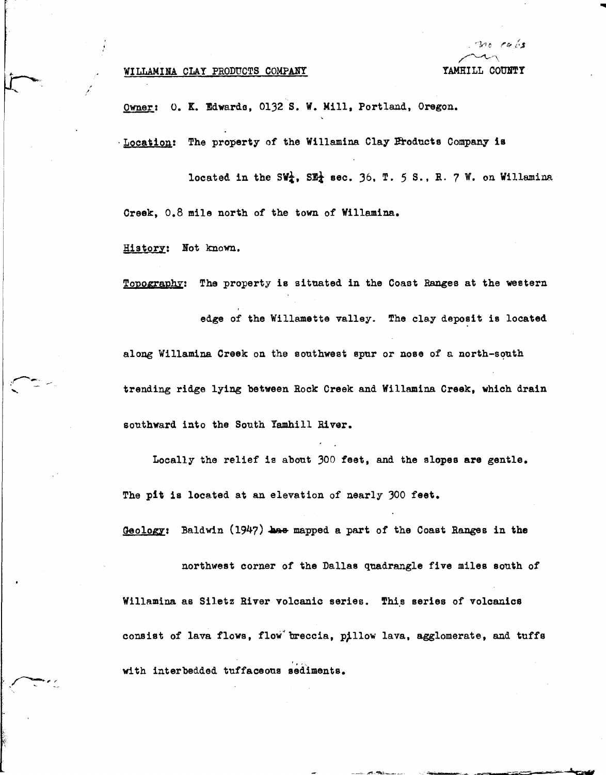## WILLAMINA CLAY PRODUCTS COMPANY

 $\sim$ YAMHILL COUNTY

Owner: O. K. Edwards, 0132 S. W. Mill, Portland, Oregon.

·Location: The property of the Willamina Clay Products Company is

located in the SW<sup>1</sup>, SE<sup>1</sup> sec. 36, T. 5 S., R. 7 W. on Willamina Creek, o.8 mile north *of* the town *of* Willamina.

Historz: Bot known.

r ,

I

/

Topography: The property is situated in the Coast Ranges at the western edge *of* the Willamette valley. The clay deposit is located along Willamina Creek on the southwest spur or nose of a north-south trending ridge lying between Rock Creek and Willamina **Creek,** which drain southward into the South Yamhill River.

Locally the relief is about 300 feet, and the slopes are gentle. The pit is located at an elevation of nearly 300 feet.

Geology: Baldwin (1947) has mapped a part of the Coast Ranges in the

northwest corner of the Dallas quadrangle five miles south of Willamina as Siletz River volcanic series. This series of volcanics consist *of* lava flows, flow"breccia, pJllow lava, agglomerate, and tuffs with interbedded tuffaceous sediments.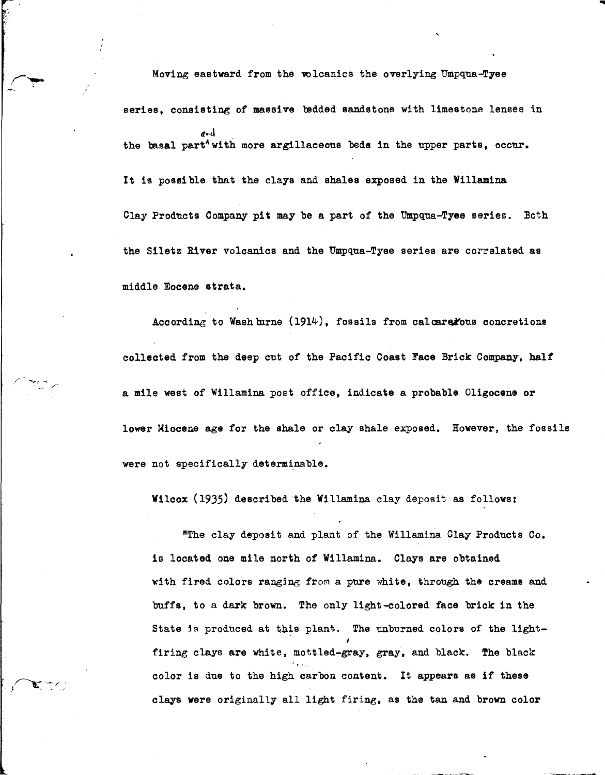Moving eastward from the volcanics the overlying Umpqua-Tyee series, consisting of massive bedded sandstone with limestone lenses in ir.-J the basal part<sup>4</sup> with more argillaceous beds in the upper parts, occur. It is possible that the clays and shales exposed in the Willamina Clay Products Company pit may be a part of the Umpqua-Tyee series. Both the Siletz **River** volcanics and the Umpqua-Tyee series are correlated as middle Eocene strata.

...

According to Wash burne  $(1914)$ , fossils from calcare fous concretions collected from the deep cut of the Pacific Coast **Face** Brick Company, half a mile west of Willamina post office, indicate a probable Oligocene or **lower** Miocene age for the shale or clay shale exposed. However, the fossils were not specifically determinable.

Wilcox (1935) described the Willamina clay deposit as follows:

"The clay deposit and plant of the Willamina Olay Products Co. is located one mile north of Willamina. Clays are obtained with fired colors ranging from a pure white, through the creams and buffs, to a dark brown. The only light-colored face brick in the State is produced at this plant. The unburned colors of the lightfiring clays are white, mottled-gray, gray, and black. The black color is due to the high carbon content. It appears as if these clays were originally all light firing, as the tan and brown color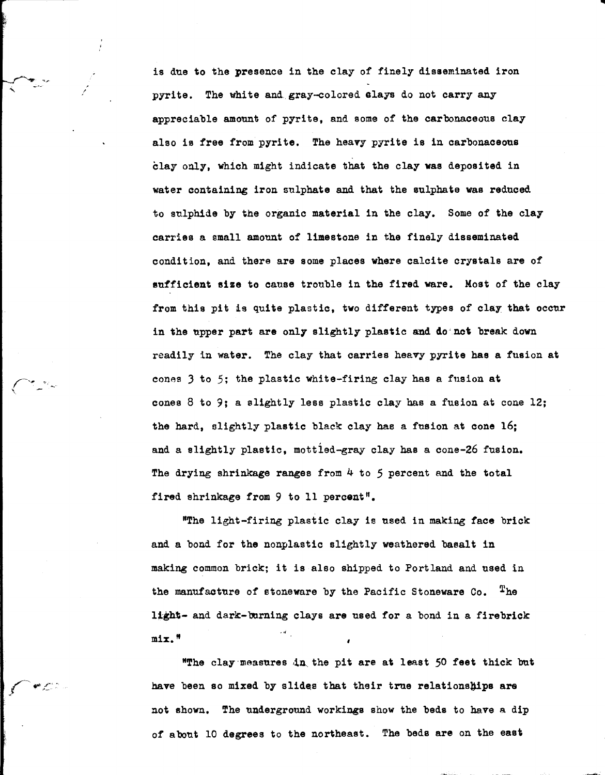is due to the presence in the clay *of* finely disseminated iron pyrite. The white and.gray-colored slays do not carry any appreciable amount of pyrite, and some of the carbonaceous clay also is **free** from pyrite. The heavy pyrite is in carbonaceous clay only, which might indicate that the clay was deposited in water containing iron sulphate and that the sulphate was reduced to sulphide by the organic **material** in the clay. Some *of* the clay carries a small amount *of* limestone in the finely disseminated condition, and there are some places where calcite crystals are of sufficient **size** to canse trouble in the fired ware. Most of the clay from this pit is quite plastic, two different types of clay that occur in the upper part are only slightly plastic and do not break down readily in water. The clay that carries heavy pyrite **has a** fusion at cones 3 to 5; the plastic white-firing clay has a fusion at cones 8 to 9; a slightly less plastic clay has a fusion at cone 12; the hard, slightly plastic black clay has a fusion at cone 16; and a slightly plastic, mottled-gray clay has a cone-26 fusion. The drying shrinkage ranges from 4 to *5* percent and the total fired shrinkage from 9 to 11 percent".

**1111** 

"The light-firing plastic clay is used in making **face** brick and a bond for the nonplastic slightly weathered basalt in making common brick; it is also shipped to Portland and used in the manufacture of stoneware by the Pacific Stoneware Co. The light- and dark-burning clays are used for a bond in a firebrick mix."

"The clay measures in the pit are at least 50 feet thick but have been so mixed by slides that their true relationships are not shown. The underground workings show the beds to have a dip of about 10 degrees to the northeast. The beds are on the east